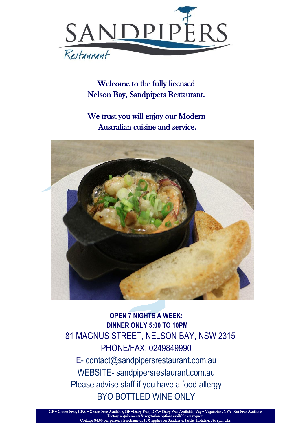

Welcome to the fully licensed Nelson Bay, Sandpipers Restaurant.

We trust you will enjoy our Modern Australian cuisine and service.



**OPEN 7 NIGHTS A WEEK: DINNER ONLY 5:00 TO 10PM**  81 MAGNUS STREET, NELSON BAY, NSW 2315 PHONE/FAX: 0249849990 E- [contact@sandpipersrestaurant.com.au](mailto:contact@sandpipersrestaurant.com.au) WEBSITE- sandpipersrestaurant.com.au Please advise staff if you have a food allergy BYO BOTTLED WINE ONLY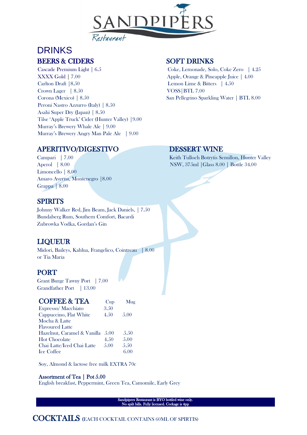

# DRINKS BEERS & CIDERS SOFT DRINKS

Cascade Premium Light | 6.5 Coke, Lemonade, Solo, Coke Zero | 4.25 XXXX Gold | 7.00 Apple, Orange & Pineapple Juice | 4.00 Carlton Draft |8.50 Lemon Lime & Bitters | 4.50 Crown Lager | 8.50 VOSS | BTL 7.00 Corona (Mexico) | 8.50 San Pellegrino Sparkling Water | BTL 8.00 Peroni Nastro Azzurro (Italy) | 8.50 Asahi Super Dry (Japan) | 8.50 Tilse 'Apple Truck' Cider (Hunter Valley) |9.00 Murray's Brewery Whale Ale | 9.00 Murray's Brewery Angry Man Pale Ale | 9.00

## APERITIVO/DIGESTIVO DESSERT WINE

Limoncello | 8.00 Amaro Averna, Montenegro |8.00 Grappa | 8.00

### **SPIRITS**

Johnny Walker Red, Jim Beam, Jack Daniels, | 7.50 Bundaberg Rum, Southern Comfort, Bacardi Zubrowka Vodka, Gordan's Gin

## LIQUEUR

Midori, Baileys, Kahlua, Frangelico, Cointreau | 8.00 or Tia Maria

#### PORT

Grant Burge Tawny Port | 7.00 Grandfather Port | 13.00

| <b>COFFEE &amp; TEA</b>     | Cup   | Mug  |
|-----------------------------|-------|------|
| Expresso/Macchiato          | 3.50  |      |
| Cappuccino, Flat White      | 4.50  | 5.00 |
| Mocha & Latte               |       |      |
| <b>Flavoured Latte</b>      |       |      |
| Hazelnut, Caramel & Vanilla | .5.00 | 5.50 |
| <b>Hot Chocolate</b>        | 4.50  | 5.00 |
| Chai Latte/Iced Chai Latte  | 5.00  | 5.50 |
| <b>Ice Coffee</b>           |       | 6.00 |

Soy, Almond & lactose free milk EXTRA 70c

#### Assortment of Tea | Pot 5.00

English breakfast, Peppermint, Green Tea, Camomile, Early Grey

Sandpipers Restaurant is BYO bottled wine only. No spilt bills. Fully licensed. Corkage is 4pp

Campari | 7.00 Keith Tulloch Botrytis Semillon, Hunter Valley Aperol | 8.00 | 8.00 | NSW, 375ml | Glass 8.00 | Bottle 34.00

COCKTAILS (EACH COCKTAIL CONTAINS 60ML OF SPIRTIS)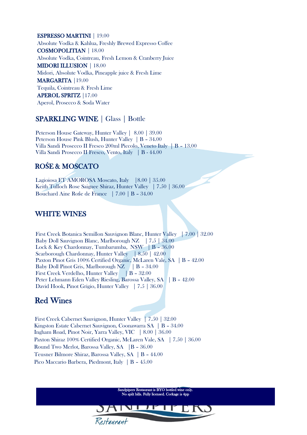ESPRESSO MARTINI | 19.00 Absolute Vodka & Kahlua, Freshly Brewed Expresso Coffee COSMOPOLITIAN | 18.00 Absolute Vodka, Cointreau, Fresh Lemon & Cranberry Juice MIDORI ILLUSION | 18.00 Midori, Absolute Vodka, Pineapple juice & Fresh Lime MARGARITA |19.00 Tequila, Cointreau & Fresh Lime APEROL SPRITZ |17.00 Aperol, Prosecco & Soda Water

#### SPARKLING WINE | Glass | Bottle

 Peterson House Gateway, Hunter Valley | 8.00 | 39.00 Peterson House Pink Blush, Hunter Valley | B – 34.00 Villa Sandi Prosecco II Fresco 200ml Piccolo, Veneto Italy | B – 13.00 Villa Sandi Prosecco II Fresco, Vento, Italy | B - 44.00

## RO**Ś**E & MOSCATO

 Lagioiosa ET AMOROSA Moscato, Italy |8.00 | 35.00 Keith Tulloch Rose Saignee Shiraz, Hunter Valley | 7.50 | 36.00 Bouchard Aine Rośe de France | 7.00 | B – 34.00

### WHITE WINES

 First Creek Botanica Semillon Sauvignon Blanc, Hunter Valley | 7.00 | 32.00 Baby Doll Sauvignon Blanc, Marlborough NZ | 7.5 | 34.00 Lock & Key Chardonnay, Tumbarumba, NSW | B – 36.00 Scarborough Chardonnay, Hunter Valley | 8.50 | 42.00 Paxton Pinot Gris 100% Certified Organic, McLaren Vale, SA | B – 42.00 Baby Doll Pinot Gris, Marlborough NZ | B - 34.00 First Creek Verdelho, Hunter Valley | B – 32.00 Peter Lehmann Eden Valley Riesling, Barossa Valley, SA | B - 42.00 David Hook, Pinot Grigio, Hunter Valley | 7.5 | 36.00

## Red Wines

 First Creek Cabernet Sauvignon, Hunter Valley | 7.50 | 32.00 Kingston Estate Cabernet Sauvignon, Coonawarra SA | B – 34.00 Ingham Road, Pinot Noir, Yarra Valley, VIC | 8.00 | 36.00 Paxton Shiraz 100% Certified Organic, McLaren Vale, SA | 7.50 | 36.00 Round Two Merlot, Barossa Valley, SA |B – 36.00 Teusner Bilmore Shiraz, Barossa Valley, SA | B – 44.00 Pico Maccario Barbera, Piedmont, Italy | B – 45.00

> Sandpipers Restaurant is BYO bottled wine only. No spilt bills. Fully licensed. Corkage is 4pp

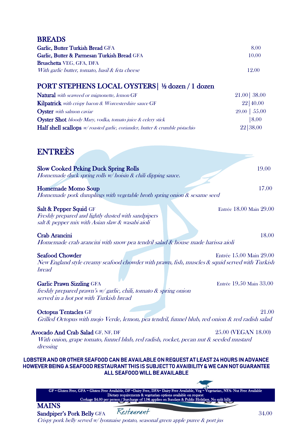## **BREADS**

| Garlic, Butter Turkish Bread GFA                | 8.00  |
|-------------------------------------------------|-------|
| Garlic, Butter & Parmesan Turkish Bread GFA     | 10.00 |
| <b>Bruschetta</b> VEG, GFA, DFA                 |       |
| With garlic butter, tomato, basil & feta cheese | 12.00 |

# PORT STEPHENS LOCAL OYSTERS| ½ dozen / 1 dozen

| <b>Natural</b> with seaweed or mignonette, lemon GF                                     | $21.00$ 38.00      |
|-----------------------------------------------------------------------------------------|--------------------|
| Kilpatrick with crispy bacon & Worcestershire sauce GF                                  | 22 40.00           |
| <b>Oyster</b> with salmon caviar                                                        | $29.00 \mid 55.00$ |
| <b>Oyster Shot</b> bloody Mary, vodka, tomato juice & celery stick                      | 18.00              |
| <b>Half shell scallops</b> $w$ roasted garlic, coriander, butter $\&$ crumble pistachio | 22 38.00           |

ENTREÈS

| <b>Slow Cooked Peking Duck Spring Rolls</b><br>Homemade duck spring rolls $w$ hoisin $\&$ chili dipping sauce.                                                                                                           | 19.00                   |
|--------------------------------------------------------------------------------------------------------------------------------------------------------------------------------------------------------------------------|-------------------------|
| <b>Homemade Momo Soup</b><br>Homemade pork dumplings with vegetable broth spring onion & sesame seed                                                                                                                     | 17.00                   |
| Salt & Pepper Squid GF<br>Freshly prepared and lightly dusted with sandpipers<br>salt & pepper mix with Asian slaw & wasabi aioli                                                                                        | Entrée 18.00 Main 29.00 |
| Crab Arancini<br>Homemade crab arancini with snow pea tendril salad & house made harissa aioli                                                                                                                           | 18.00                   |
| <b>Seafood Chowder</b><br>New England style creamy seafood chowder with prawn, fish, muscles & squid served with Turkish<br><b>bread</b>                                                                                 | Entrée 15.00 Main 29.00 |
| <b>Garlic Prawn Sizzling GFA</b><br>freshly prepared prawn's $w/garlic$ , chili, tomato $\&$ spring onion<br>served in a hot pot with Turkish bread                                                                      | Entrée 19.50 Main 33.00 |
| <b>Octopus Tentacles GF</b><br>Grilled Octopus with mojo Verde, lemon, pea tendril, funnel blub, red onion & red radish salad                                                                                            | 21.00                   |
| Avocado And Crab Salad GF, NF, DF<br>25.00 (VEGAN 18.00)<br>With onion, grape tomato, funnel blub, red radish, rocket, pecan nut & seeded mustard<br>dressing                                                            |                         |
| LOBSTER AND OR OTHER SEAFOOD CAN BE AVAILABLE ON REQUEST AT LEAST 24 HOURS IN ADVANCE<br>HOWEVER BEING A SEAFOOD RESTAURANT THIS IS SUBJECT TO AVAIBILITY & WE CAN NOT GUARANTEE<br><b>ALL SEAFOOD WILL BE AVAILABLE</b> |                         |
|                                                                                                                                                                                                                          |                         |

GF = Gluten Free, GFA = Gluten Free Available, DF =Dairy Free, DFA= Dairy Free Available, Veg = Vegetarian, NFA- Nut Free Available Dietary requirements & vegetarian options available on request Corkage \$4.00 per person / Surcharge of 15% applies on Sundays & Public Holidays. No split bill

## **MAINS**

Sandpiper's Pork Belly GFA Restaurant 34.00 Crispy pork belly served w/ lyonnaise potato, seasonal green apple puree & port jus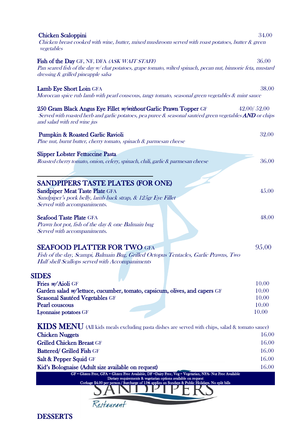| <b>Chicken Scaloppini</b><br>Chicken breast cooked with wine, butter, mixed mushroom served with roast potatoes, butter & green<br>vegetables                                                               | 34.00          |
|-------------------------------------------------------------------------------------------------------------------------------------------------------------------------------------------------------------|----------------|
| Fish of the Day GF, NF, DFA (ASK WAIT STAFF)<br>Pan seared fish of the day w/ chat potatoes, grape tomato, wilted spinach, pecan nut, binnorie feta, mustard<br>dressing & grilled pineapple salsa          | 36.00          |
| Lamb Eye Short Loin GFA<br>Moroccan spice rub lamb with pearl couscous, tangy tomato, seasonal green vegetables & mint sauce                                                                                | 38.00          |
| 250 Gram Black Angus Eye Fillet w/without Garlic Prawn Topper GF<br>Served with roasted herb and garlic potatoes, pea puree & seasonal sautéed green vegetables AND or chips<br>and salad with red wine jus | 42.00/52.00    |
| Pumpkin & Roasted Garlic Ravioli<br>Pine nut, burnt butter, cherry tomato, spinach & parmesan cheese                                                                                                        | 32.00          |
| <b>Slipper Lobster Fettuccine Pasta</b><br>Roasted cherry tomato, onion, celery, spinach, chili, garlic & parmesan cheese                                                                                   | 36.00          |
| <b>SANDPIPERS TASTE PLATES (FOR ONE)</b><br><b>Sandpiper Meat Taste Plate GFA</b><br>Sandpiper's pork belly, lamb back strap, & 125gr Eye Fillet<br>Served with accompaniments.                             | 45.00          |
| <b>Seafood Taste Plate GFA</b><br>Prawn hot pot, fish of the day & one Balmain bug<br>Served with accompaniments.                                                                                           | 48.00          |
| <b>SEAFOOD PLATTER FOR TWO GFA</b><br>Fish of the day, Scampi, Balmain Bug, Grilled Octopus Tentacles, Garlic Prawns, Two<br>Half shell Scallops served with Accompaniments                                 | 95.00          |
| <b>SIDES</b>                                                                                                                                                                                                |                |
| Fries w/Aioli GF<br>Garden salad w/lettuce, cucumber, tomato, capsicum, olives, and capers GF                                                                                                               | 10.00<br>10.00 |
| Seasonal Sautéed Vegetables GF                                                                                                                                                                              | 10.00          |
| Pearl couscous                                                                                                                                                                                              | 10.00          |
| Lyonnaise potatoes GF                                                                                                                                                                                       | 10.00          |
| KIDS MENU (All kids meals excluding pasta dishes are served with chips, salad & tomato sauce)                                                                                                               |                |
| <b>Chicken Nuggets</b>                                                                                                                                                                                      | 16.00          |
| <b>Grilled Chicken Breast GF</b>                                                                                                                                                                            | 16.00          |
| <b>Battered/ Grilled Fish GF</b>                                                                                                                                                                            | 16.00          |
| Salt & Pepper Squid GF                                                                                                                                                                                      | 16.00          |
| Kid's Bolognaise (Adult size available on request)                                                                                                                                                          | 16.00          |
| GF - Gluten Free, GFA - Gluten Free Available, DF -Dairy Free, Veg - Vegetarian, NFA- Nut Free Available<br>Dietary requirements & vegetarian options available on request                                  |                |
| Corkage \$4.00 per person / Surcharge of 15% applies on Sundays & Public Holidays. No split bills                                                                                                           |                |
|                                                                                                                                                                                                             |                |
| Restaurant                                                                                                                                                                                                  |                |
|                                                                                                                                                                                                             |                |

**DESSERTS**